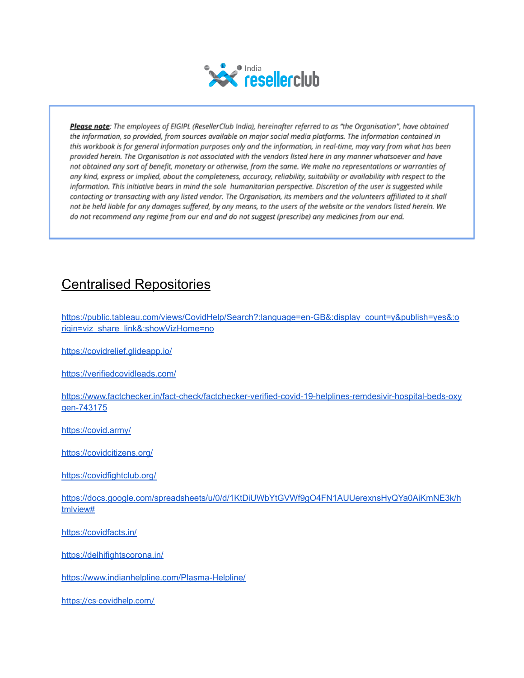

Please note: The employees of EIGIPL (ResellerClub India), hereinafter referred to as "the Organisation", have obtained the information, so provided, from sources available on major social media platforms. The information contained in this workbook is for general information purposes only and the information, in real-time, may vary from what has been provided herein. The Organisation is not associated with the vendors listed here in any manner whatsoever and have not obtained any sort of benefit, monetary or otherwise, from the same. We make no representations or warranties of any kind, express or implied, about the completeness, accuracy, reliability, suitability or availability with respect to the information. This initiative bears in mind the sole humanitarian perspective. Discretion of the user is suggested while contacting or transacting with any listed vendor. The Organisation, its members and the volunteers affiliated to it shall not be held liable for any damages suffered, by any means, to the users of the website or the vendors listed herein. We do not recommend any regime from our end and do not suggest (prescribe) any medicines from our end.

### Centralised Repositories

[https://public.tableau.com/views/CovidHelp/Search?:language=en-GB&:display\\_count=y&publish=yes&:o](https://public.tableau.com/views/CovidHelp/Search?:language=en-GB&:display_count=y&publish=yes&:origin=viz_share_link&:showVizHome=no) [rigin=viz\\_share\\_link&:showVizHome=no](https://public.tableau.com/views/CovidHelp/Search?:language=en-GB&:display_count=y&publish=yes&:origin=viz_share_link&:showVizHome=no)

<https://covidrelief.glideapp.io/>

<https://verifiedcovidleads.com/>

[https://www.factchecker.in/fact-check/factchecker-verified-covid-19-helplines-remdesivir-hospital-beds-oxy](https://www.factchecker.in/fact-check/factchecker-verified-covid-19-helplines-remdesivir-hospital-beds-oxygen-743175) [gen-743175](https://www.factchecker.in/fact-check/factchecker-verified-covid-19-helplines-remdesivir-hospital-beds-oxygen-743175)

<https://covid.army/>

<https://covidcitizens.org/>

<https://covidfightclub.org/>

[https://docs.google.com/spreadsheets/u/0/d/1KtDiUWbYtGVWf9gO4FN1AUUerexnsHyQYa0AiKmNE3k/h](https://docs.google.com/spreadsheets/u/0/d/1KtDiUWbYtGVWf9gO4FN1AUUerexnsHyQYa0AiKmNE3k/htmlview#) [tmlview#](https://docs.google.com/spreadsheets/u/0/d/1KtDiUWbYtGVWf9gO4FN1AUUerexnsHyQYa0AiKmNE3k/htmlview#)

<https://covidfacts.in/>

<https://delhifightscorona.in/>

<https://www.indianhelpline.com/Plasma-Helpline/>

<https://cs-covidhelp.com/>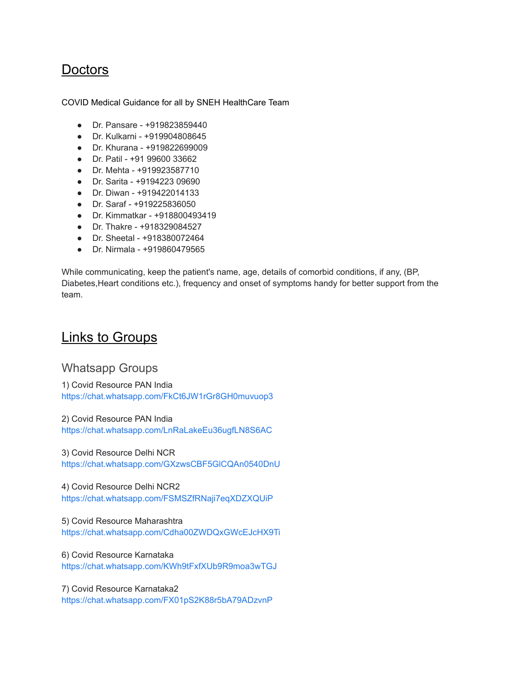### **Doctors**

COVID Medical Guidance for all by SNEH HealthCare Team

- Dr. Pansare +919823859440
- Dr. Kulkarni +919904808645
- Dr. Khurana +919822699009
- Dr. Patil +91 99600 33662
- Dr. Mehta +919923587710
- Dr. Sarita +9194223 09690
- Dr. Diwan +919422014133
- Dr. Saraf +919225836050
- Dr. Kimmatkar +918800493419
- Dr. Thakre +918329084527
- Dr. Sheetal +918380072464
- Dr. Nirmala +919860479565

While communicating, keep the patient's name, age, details of comorbid conditions, if any, (BP, Diabetes,Heart conditions etc.), frequency and onset of symptoms handy for better support from the team.

#### Links to Groups

#### Whatsapp Groups

1) Covid Resource PAN India <https://chat.whatsapp.com/FkCt6JW1rGr8GH0muvuop3>

2) Covid Resource PAN India

<https://chat.whatsapp.com/LnRaLakeEu36ugfLN8S6AC>

3) Covid Resource Delhi NCR <https://chat.whatsapp.com/GXzwsCBF5GlCQAn0540DnU>

4) Covid Resource Delhi NCR2 <https://chat.whatsapp.com/FSMSZfRNaji7eqXDZXQUiP>

5) Covid Resource Maharashtra <https://chat.whatsapp.com/Cdha00ZWDQxGWcEJcHX9Ti>

6) Covid Resource Karnataka <https://chat.whatsapp.com/KWh9tFxfXUb9R9moa3wTGJ>

7) Covid Resource Karnataka2 <https://chat.whatsapp.com/FX01pS2K88r5bA79ADzvnP>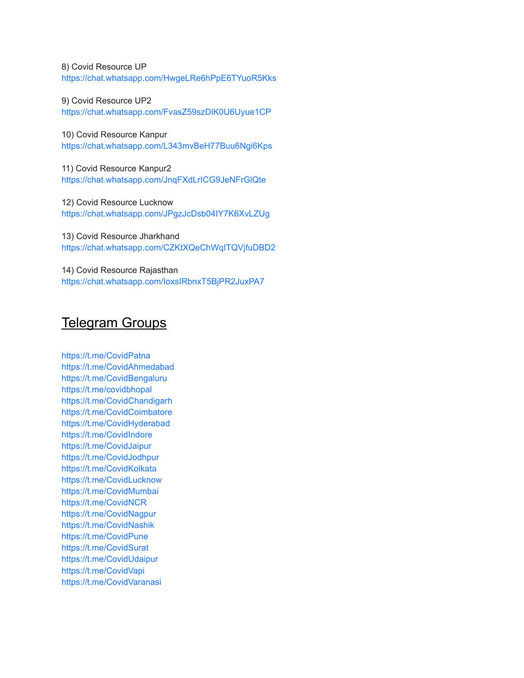8) Covid Resource UP <https://chat.whatsapp.com/HwgeLRe6hPpE6TYuoR5Kks>

9) Covid Resource UP2 <https://chat.whatsapp.com/FvasZ59szDlK0U6Uyue1CP>

10) Covid Resource Kanpur <https://chat.whatsapp.com/L343mvBeH77Buu6Ngi6Kps>

11) Covid Resource Kanpur2 <https://chat.whatsapp.com/JnqFXdLrICG9JeNFrGlQte>

12) Covid Resource Lucknow <https://chat.whatsapp.com/JPgzJcDsb04IY7K6XvLZUg>

13) Covid Resource Jharkhand <https://chat.whatsapp.com/CZKtXQeChWqITQVjfuDBD2>

14) Covid Resource Rajasthan <https://chat.whatsapp.com/IoxsIRbnxT5BjPR2JuxPA7>

#### Telegram Groups

<https://t.me/CovidPatna> <https://t.me/CovidAhmedabad> <https://t.me/CovidBengaluru> <https://t.me/covidbhopal> <https://t.me/CovidChandigarh> <https://t.me/CovidCoimbatore> <https://t.me/CovidHyderabad> <https://t.me/CovidIndore> <https://t.me/CovidJaipur> <https://t.me/CovidJodhpur> <https://t.me/CovidKolkata> <https://t.me/CovidLucknow> <https://t.me/CovidMumbai> <https://t.me/CovidNCR> <https://t.me/CovidNagpur> <https://t.me/CovidNashik> <https://t.me/CovidPune> <https://t.me/CovidSurat> <https://t.me/CovidUdaipur> <https://t.me/CovidVapi> [https://t.me/CovidVaranasi](https://t.me/CovidVaranasi%60%60%60)